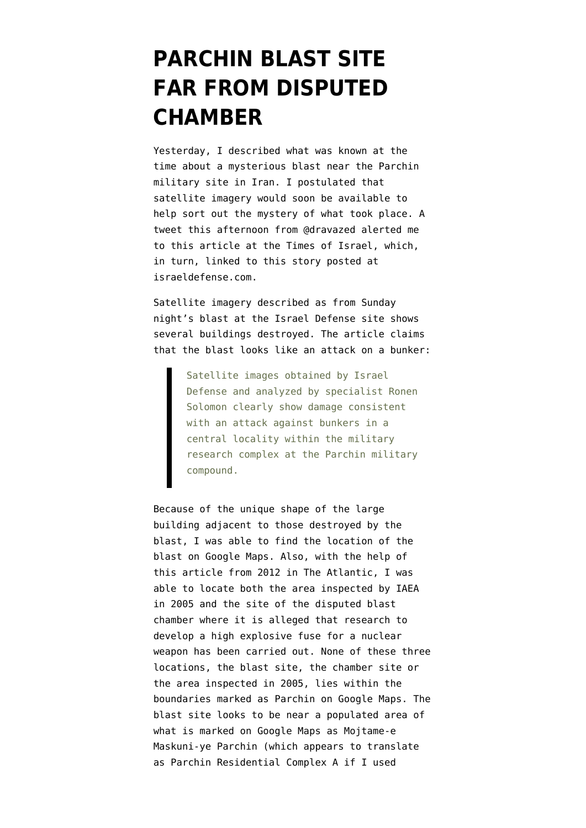## **[PARCHIN BLAST SITE](https://www.emptywheel.net/2014/10/08/parchin-blast-site-far-from-disputed-chamber/) [FAR FROM DISPUTED](https://www.emptywheel.net/2014/10/08/parchin-blast-site-far-from-disputed-chamber/) [CHAMBER](https://www.emptywheel.net/2014/10/08/parchin-blast-site-far-from-disputed-chamber/)**

Yesterday, [I described](https://www.emptywheel.net/2014/10/07/blast-at-parchin-kills-at-least-two-timing-stinks/) what was known at the time about a mysterious blast near the Parchin military site in Iran. I postulated that satellite imagery would soon be available to help sort out the mystery of what took place. A [tweet](https://twitter.com/dravazed/status/519926874185547776) this afternoon from @dravazed alerted me to [this article a](http://www.timesofisrael.com/massive-blast-reported-at-suspected-iranian-nuke-facility-2/)t the Times of Israel, which, in turn, linked to [this story](http://www.israeldefense.com/?CategoryID=483&ArticleID=3159) posted at israeldefense.com.

Satellite imagery described as from Sunday night's blast at the Israel Defense site shows several buildings destroyed. The article claims that the blast looks like an attack on a bunker:

> Satellite images obtained by Israel Defense and analyzed by specialist Ronen Solomon clearly show damage consistent with an attack against bunkers in a central locality within the military research complex at the Parchin military compound.

Because of the unique shape of the large building adjacent to those destroyed by the blast, I was able to find the location of the blast on Google Maps. Also, with the help of [this article](http://www.thewire.com/global/2012/03/first-look-secret-iranian-site-un-wants-inspect/49842/) from 2012 in The Atlantic, I was able to locate both the area inspected by IAEA in 2005 and the site of the disputed blast chamber where it is alleged that research to develop a high explosive fuse for a nuclear weapon has been carried out. None of these three locations, the blast site, the chamber site or the area inspected in 2005, lies within the boundaries marked as Parchin on Google Maps. The blast site looks to be near a populated area of what is marked on Google Maps as Mojtame-e Maskuni-ye Parchin (which appears to translate as Parchin Residential Complex A if I used